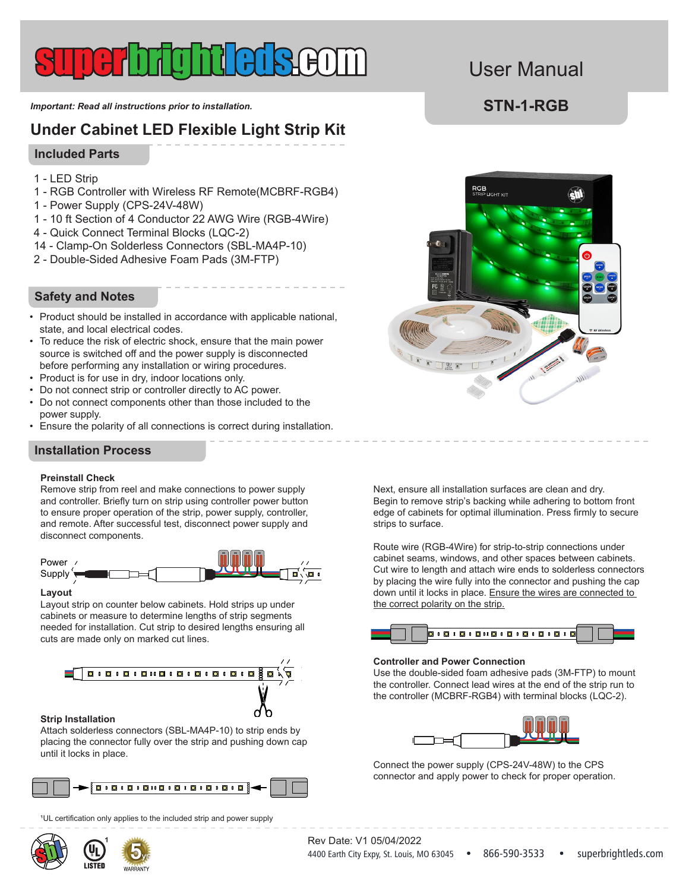*Important: Read all instructions prior to installation.* **STN-1-RGB** 

# **Under Cabinet LED Flexible Light Strip Kit**

#### **Included Parts**

- 1 LED Strip
- 1 RGB Controller with Wireless RF Remote(MCBRF-RGB4)
- 1 Power Supply (CPS-24V-48W)
- 1 10 ft Section of 4 Conductor 22 AWG Wire (RGB-4Wire)
- 4 Quick Connect Terminal Blocks (LQC-2)
- 14 Clamp-On Solderless Connectors (SBL-MA4P-10)
- 2 Double-Sided Adhesive Foam Pads (3M-FTP)

#### **Safety and Notes**

- Product should be installed in accordance with applicable national, state, and local electrical codes.
- To reduce the risk of electric shock, ensure that the main power source is switched off and the power supply is disconnected before performing any installation or wiring procedures.
- Product is for use in dry, indoor locations only.
- Do not connect strip or controller directly to AC power.
- Do not connect components other than those included to the power supply.
- Ensure the polarity of all connections is correct during installation.

 $\mathbf{r} = \mathbf{r} - \mathbf{r}$ 

### **Installation Process**

#### **Preinstall Check**

Remove strip from reel and make connections to power supply and controller. Briefly turn on strip using controller power button to ensure proper operation of the strip, power supply, controller, and remote. After successful test, disconnect power supply and disconnect components.



#### **Layout**

cabinets or measure to determine lengths of strip segments needed for installation. Cut strip to desired lengths ensuring all Layout strip on counter below cabinets. Hold strips up under cuts are made only on marked cut lines.



#### **Strip Installation**

Attach solderless connectors (SBL-MA4P-10) to strip ends by placing the connector fully over the strip and pushing down cap until it locks in place.



<sup>1</sup>UL certification only applies to the included strip and power supply



1<br>|

# User Manual



Next, ensure all installation surfaces are clean and dry. Begin to remove strip's backing while adhering to bottom front edge of cabinets for optimal illumination. Press firmly to secure strips to surface.

Route wire (RGB-4Wire) for strip-to-strip connections under cabinet seams, windows, and other spaces between cabinets. Cut wire to length and attach wire ends to solderless connectors by placing the wire fully into the connector and pushing the cap down until it locks in place. Ensure the wires are connected to the correct polarity on the strip.



#### **Controller and Power Connection**

the controller. Connect lead wires at the end of the strip run to the controller (MCBRF-RGB4) with terminal blocks (LQC-2). Use the double-sided foam adhesive pads (3M-FTP) to mount



Connect the power supply (CPS-24V-48W) to the CPS connector and apply power to check for proper operation.

4400 Earth City Expy, St. Louis, MO 63045 • 866-590-3533 • superbrightleds.com Rev Date: V1 05/04/2022